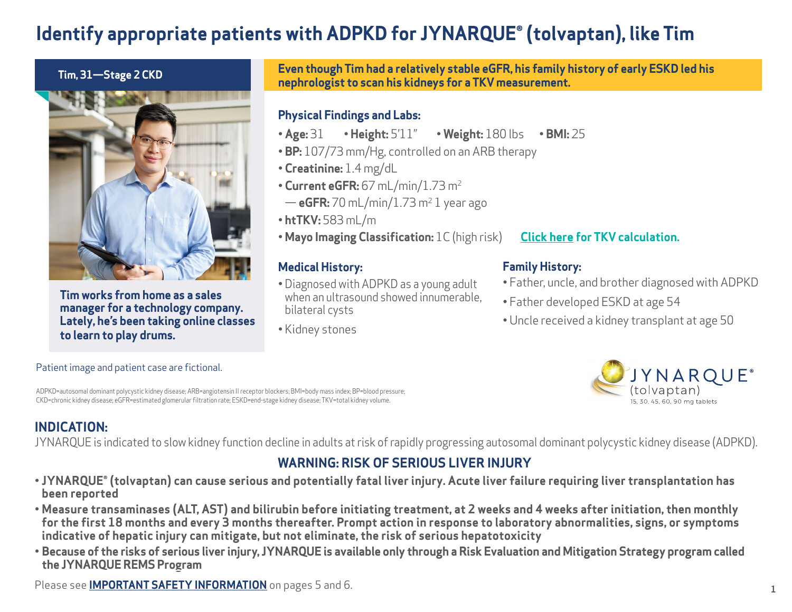# **Identify appropriate patients with ADPKD for JYNARQUE® (tolvaptan), like Tim**



**Tim works from home as a sales manager for a technology company. Lately, he's been taking online classes to learn to play drums.**

#### **Even though Tim had a relatively stable eGFR, his family history of early ESKD led his nephrologist to scan his kidneys for a TKV measurement. Tim, 31—Stage 2 CKD**

### **Physical Findings and Labs:**

- •**Age:** 31 **Height:** 5'11" **Weight:** 180 lbs **BMI:** 25
- **BP:** 107/73 mm/Hg, controlled on an ARB therapy
- **Creatinine:** 1.4 mg/dL
- • **Current eGFR:** 67 mL/min/1.73 m2
- **eGFR:** 70 mL/min/1.73 m2 1 year ago
- **htTKV:** 583 mL/m
- **Mayo Imaging Classification:** 1C (high risk)

### **Medical History:**

- Diagnosed with ADPKD as a young adult when an ultrasound showed innumerable. bilateral cysts
- Kidney stones

### **[Click here f](#page-1-0)or TKV calculation.**

### **Family History:**

- Father, uncle, and brother diagnosed with ADPKD
- Father developed ESKD at age 54
- Uncle received a kidney transplant at age 50



#### Patient image and patient case are fictional.

ADPKD=autosomal dominant polycystic kidney disease; ARB=angiotensin II receptor blockers; BMI=body mass index; BP=blood pressure; CKD=chronic kidney disease; eGFR=estimated glomerular filtration rate; ESKD=end-stage kidney disease; TKV=total kidney volume.

### **INDICATION:**

JYNARQUE is indicated to slow kidney function decline in adults at risk of rapidly progressing autosomal dominant polycystic kidney disease (ADPKD).

### **WARNING: RISK OF SERIOUS LIVER INJURY**

- **JYNARQUE® (tolvaptan) can cause serious and potentially fatal liver injury. Acute liver failure requiring liver transplantation has been reported**
- **• Measure transaminases (ALT, AST) and bilirubin before initiating treatment, at 2 weeks and 4 weeks after initiation, then monthly for the first 18 months and every 3 months thereafter. Prompt action in response to laboratory abnormalities, signs, or symptoms indicative of hepatic injury can mitigate, but not eliminate, the risk of serious hepatotoxicity**
- **• Because of the risks of serious liver injury, JYNARQUE is available only through a Risk Evaluation and Mitigation Strategy program called the JYNARQUE REMS Program**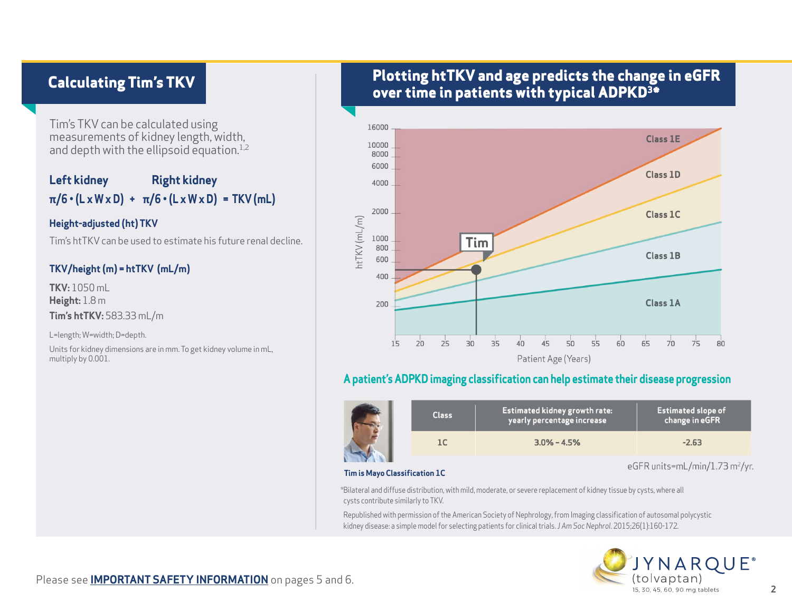### <span id="page-1-0"></span>**Calculating Tim's TKV**

Tim's TKV can be calculated using measurements of kidney length, width, and depth with the ellipsoid equation. $1,2$ 

### **Left kidney Right kidney π/6 • (L x W x D) + π/6 • (L x W x D) = TKV (mL)**

#### **Height-adjusted (ht) TKV**

Tim's htTKV can be used to estimate his future renal decline.

#### **TKV/height (m) = htTKV (mL/m)**

**TKV:** 1050 mL **Height:** 1.8 m **Tim's htTKV:** 583.33 mL/m

L=length; W=width; D=depth.

Units for kidney dimensions are in mm. To get kidney volume in mL, multiply by 0.001.

### **Plotting htTKV and age predicts the change in eGFR over time in patients with typical ADPKD3\***



### **A patient's ADPKD imaging classification can help estimate their disease progression**

|  | <b>Class</b> | <b>Estimated kidney growth rate:</b><br>yearly percentage increase | <b>Estimated slope of</b><br>change in eGFR |
|--|--------------|--------------------------------------------------------------------|---------------------------------------------|
|  |              | $3.0\% - 4.5\%$                                                    | $-2.63$                                     |

#### **Tim is Mayo Classification 1C**

eGFR units=mL/min/1.73 m<sup>2</sup>/yr.

\*Bilateral and diffuse distribution, with mild, moderate, or severe replacement of kidney tissue by cysts, where all cysts contribute similarly to TKV.

Republished with permission of the American Society of Nephrology, from Imaging classification of autosomal polycystic kidney disease: a simple model for selecting patients for clinical trials. *J Am Soc Nephrol*. 2015;26(1):160-172.

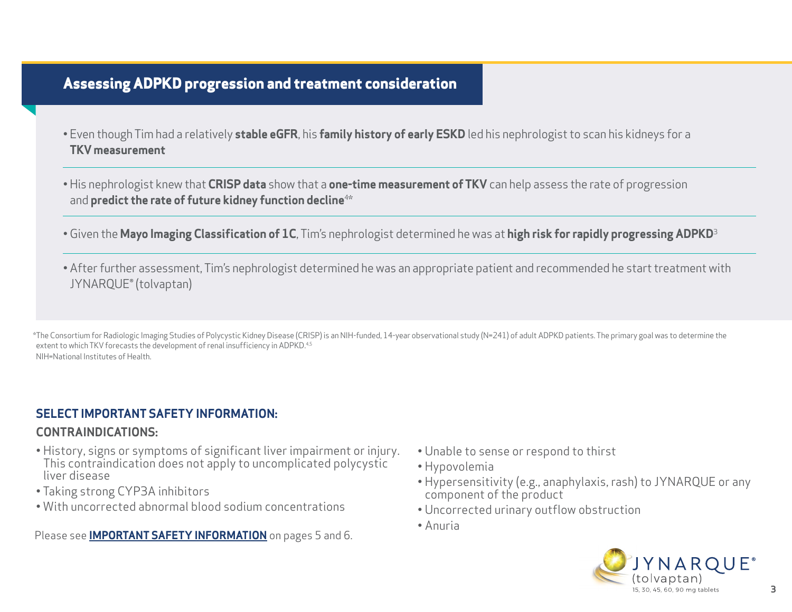### **Assessing ADPKD progression and treatment consideration**

- Even though Tim had a relatively **stable eGFR**, his **family history of early ESKD** led his nephrologist to scan his kidneys for a **TKV measurement**
- His nephrologist knew that **CRISP data** show that a **one-time measurement of TKV** can help assess the rate of progression and **predict the rate of future kidney function decline**4\*
- •Given the **Mayo Imaging Classification of 1C**, Tim's nephrologist determined he was at **high risk for rapidly progressing ADPKD**<sup>3</sup>
- After further assessment, Tim's nephrologist determined he was an appropriate patient and recommended he start treatment with JYNARQUE® (tolvaptan)

\*The Consortium for Radiologic Imaging Studies of Polycystic Kidney Disease (CRISP) is an NIH-funded, 14-year observational study (N=241) of adult ADPKD patients. The primary goal was to determine the extent to which TKV forecasts the development of renal insufficiency in ADPKD.<sup>4,5</sup> NIH=National Institutes of Health.

#### **SELECT IMPORTANT SAFETY INFORMATION:**

#### **CONTRAINDICATIONS:**

- History, signs or symptoms of significant liver impairment or injury. This contraindication does not apply to uncomplicated polycystic liver disease
- Taking strong CYP3A inhibitors
- With uncorrected abnormal blood sodium concentrations

- Unable to sense or respond to thirst
- Hypovolemia
- Hypersensitivity (e.g., anaphylaxis, rash) to JYNARQUE or any component of the product
- Uncorrected urinary outflow obstruction
- Anuria

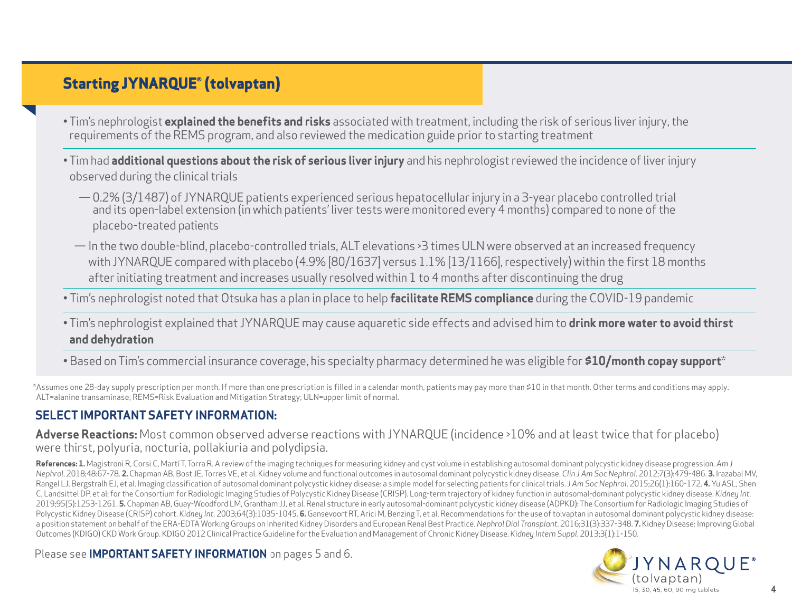### **Starting JYNARQUE® (tolvaptan)**

- Tim's nephrologist **explained the benefits and risks** associated with treatment, including the risk of serious liver injury, the requirements of the REMS program, and also reviewed the medication guide prior to starting treatment
- Tim had **additional questions about the risk of serious liver injury** and his nephrologist reviewed the incidence of liver injury observed during the clinical trials
	- —0.2% (3/1487) of JYNARQUE patients experienced serious hepatocellular injury in a 3-year placebo controlled trial and its open-label extension (in which patients' liver tests were monitored every 4 months) compared to none of the placebo-treated patients
	- In the two double-blind, placebo-controlled trials, ALT elevations >3 times ULN were observed at an increased frequency with JYNARQUE compared with placebo (4.9% [80/1637] versus 1.1% [13/1166], respectively) within the first 18 months after initiating treatment and increases usually resolved within 1 to 4 months after discontinuing the drug

• Tim's nephrologist noted that Otsuka has a plan in place to help **facilitate REMS compliance** during the COVID-19 pandemic

- Tim's nephrologist explained that JYNARQUE may cause aquaretic side effects and advised him to **drink more water to avoid thirst and dehydration**
- Based on Tim's commercial insurance coverage, his specialty pharmacy determined he was eligible for **\$10/month copay support**\*

\*Assumes one 28-day supply prescription per month. If more than one prescription is filled in a calendar month, patients may pay more than \$10 in that month. Other terms and conditions may apply. ALT=alanine transaminase; REMS=Risk Evaluation and Mitigation Strategy; ULN=upper limit of normal.

### **SELECT IMPORTANT SAFETY INFORMATION:**

**Adverse Reactions:** Most common observed adverse reactions with JYNARQUE (incidence >10% and at least twice that for placebo) were thirst, polyuria, nocturia, pollakiuria and polydipsia.

**References: 1.** Magistroni R, Corsi C, Martí T, Torra R. A review of the imaging techniques for measuring kidney and cyst volume in establishing autosomal dominant polycystic kidney disease progression. *Am J*  Nephrol. 2018;48:67-78. 2. Chapman AB, Bost JE, Torres VE, et al. Kidney volume and functional outcomes in autosomal dominant polycystic kidney disease. Clin J Am Soc Nephrol. 2012;7(3):479-486. 3. Irazabal MV, Rangel LJ, Bergstralh EJ, et al. Imaging classification of autosomal dominant polycystic kidney disease: a simple model for selecting patients for clinical trials. J Am Soc Nephrol. 2015;26(1):160-172. 4. Yu ASL, Shen C, Landsittel DP, et al; for the Consortium for Radiologic Imaging Studies of Polycystic Kidney Disease (CRISP). Long-term trajectory of kidney function in autosomal-dominant polycystic kidney disease. *Kidney Int*. 2019;95(5):1253-1261. **5.** Chapman AB, Guay-Woodford LM, Grantham JJ, et al. Renal structure in early autosomal-dominant polycystic kidney disease (ADPKD): The Consortium for Radiologic Imaging Studies of Polycystic Kidney Disease (CRISP) cohort. *Kidney Int.* 2003;64(3):1035-1045. **6.** Gansevoort RT, Arici M, Benzing T, et al. Recommendations for the use of tolvaptan in autosomal dominant polycystic kidney disease: a position statement on behalf of the ERA-EDTA Working Groups on Inherited Kidney Disorders and European Renal Best Practice. *Nephrol Dial Transplant*. 2016;31(3):337-348. **7.** Kidney Disease: Improving Global Outcomes (KDIGO) CKD Work Group. KDIGO 2012 Clinical Practice Guideline for the Evaluation and Management of Chronic Kidney Disease. *Kidney Intern Suppl*. 2013;3(1):1-150.

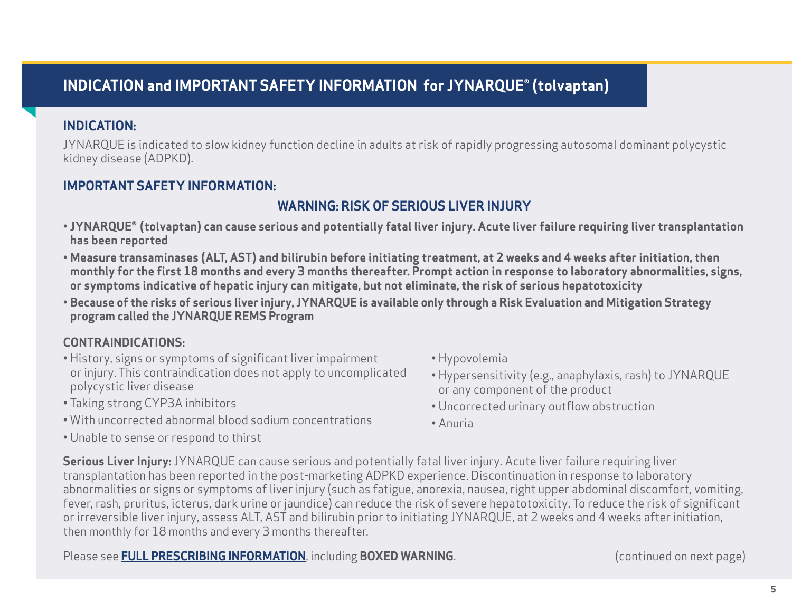### <span id="page-4-0"></span>**INDICATION and IMPORTANT SAFETY INFORMATION for JYNARQUE® (tolvaptan)**

### **INDICATION:**

JYNARQUE is indicated to slow kidney function decline in adults at risk of rapidly progressing autosomal dominant polycystic kidney disease (ADPKD).

### **IMPORTANT SAFETY INFORMATION:**

### **WARNING: RISK OF SERIOUS LIVER INJURY**

- **JYNARQUE® (tolvaptan) can cause serious and potentially fatal liver injury. Acute liver failure requiring liver transplantation has been reported**
- **Measure transaminases (ALT, AST) and bilirubin before initiating treatment, at 2 weeks and 4 weeks after initiation, then monthly for the first 18 months and every 3 months thereafter. Prompt action in response to laboratory abnormalities, signs, or symptoms indicative of hepatic injury can mitigate, but not eliminate, the risk of serious hepatotoxicity**
- **Because of the risks of serious liver injury, JYNARQUE is available only through a Risk Evaluation and Mitigation Strategy program called the JYNARQUE REMS Program**

### **CONTRAINDICATIONS:**

- History, signs or symptoms of significant liver impairment or injury. This contraindication does not apply to uncomplicated polycystic liver disease
- Taking strong CYP3A inhibitors
- With uncorrected abnormal blood sodium concentrations
- Unable to sense or respond to thirst
- Hypovolemia
- Hypersensitivity (e.g., anaphylaxis, rash) to JYNARQUE or any component of the product
- Uncorrected urinary outflow obstruction
- Anuria

**Serious Liver Injury:** JYNARQUE can cause serious and potentially fatal liver injury. Acute liver failure requiring liver transplantation has been reported in the post-marketing ADPKD experience. Discontinuation in response to laboratory abnormalities or signs or symptoms of liver injury (such as fatigue, anorexia, nausea, right upper abdominal discomfort, vomiting, fever, rash, pruritus, icterus, dark urine or jaundice) can reduce the risk of severe hepatotoxicity. To reduce the risk of significant or irreversible liver injury, assess ALT, AST and bilirubin prior to initiating JYNARQUE, at 2 weeks and 4 weeks after initiation, then monthly for 18 months and every 3 months thereafter.

Please see **[FULL PRESCRIBING INFORMATION](https://www.otsuka-us.com/sites/g/files/qhldwo3326/files/media/static/JYNARQUE-PI.pdf)**, including **BOXED WARNING**.

(continued on next page)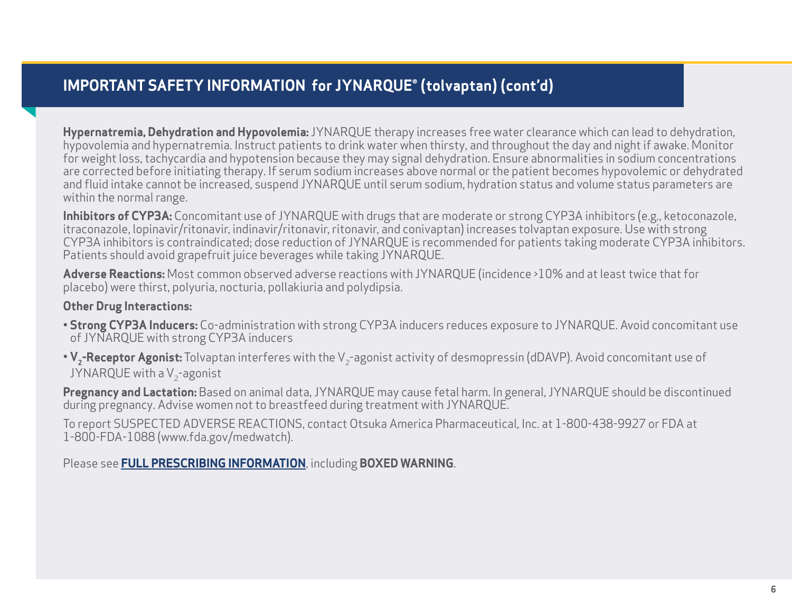## **IMPORTANT SAFETY INFORMATION for JYNARQUE® (tolvaptan) (cont'd)**

**Hypernatremia, Dehydration and Hypovolemia:** JYNARQUE therapy increases free water clearance which can lead to dehydration, hypovolemia and hypernatremia. Instruct patients to drink water when thirsty, and throughout the day and night if awake. Monitor for weight loss, tachycardia and hypotension because they may signal dehydration. Ensure abnormalities in sodium concentrations are corrected before initiating therapy. If serum sodium increases above normal or the patient becomes hypovolemic or dehydrated and fluid intake cannot be increased, suspend JYNARQUE until serum sodium, hydration status and volume status parameters are within the normal range.

**Inhibitors of CYP3A:** Concomitant use of JYNARQUE with drugs that are moderate or strong CYP3A inhibitors (e.g., ketoconazole, itraconazole, lopinavir/ritonavir, indinavir/ritonavir, ritonavir, and conivaptan) increases tolvaptan exposure. Use with strong CYP3A inhibitors is contraindicated; dose reduction of JYNARQUE is recommended for patients taking moderate CYP3A inhibitors. Patients should avoid grapefruit juice beverages while taking JYNARQUE.

**Adverse Reactions:** Most common observed adverse reactions with JYNARQUE (incidence >10% and at least twice that for placebo) were thirst, polyuria, nocturia, pollakiuria and polydipsia.

#### **Other Drug Interactions:**

- **Strong CYP3A Inducers:** Co-administration with strong CYP3A inducers reduces exposure to JYNARQUE. Avoid concomitant use of JYNARQUE with strong CYP3A inducers
- V<sub>2</sub>-Receptor Agonist: Tolvaptan interferes with the V<sub>2</sub>-agonist activity of desmopressin (dDAVP). Avoid concomitant use of JYNARQUE with a  $V<sub>2</sub>$ -agonist

**Pregnancy and Lactation:** Based on animal data, JYNARQUE may cause fetal harm. In general, JYNARQUE should be discontinued during pregnancy. Advise women not to breastfeed during treatment with JYNARQUE.

To report SUSPECTED ADVERSE REACTIONS, contact Otsuka America Pharmaceutical, Inc. at 1-800-438-9927 or FDA at 1-800-FDA-1088 (www.fda.gov/medwatch).

Please see **[FULL PRESCRIBING INFORMATION](https://www.otsuka-us.com/sites/g/files/qhldwo3326/files/media/static/JYNARQUE-PI.pdf)**, including **BOXED WARNING**.